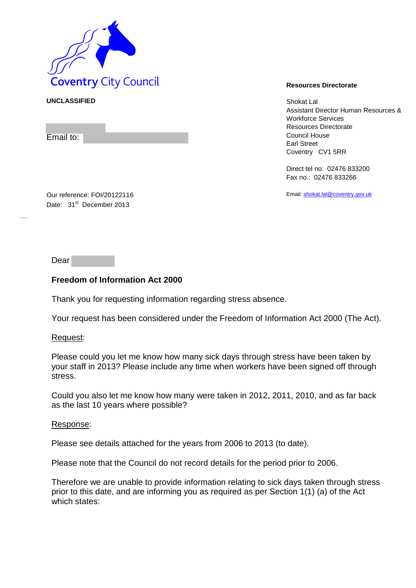

**UNCLASSIFIED** Shokat Lal Assistant Director Human Resources & Workforce Services Resources Directorate Council House Earl Street Coventry CV1 5RR

> Direct tel no: 02476 833200 Fax no.: 02476 833266

Email[: shokat.lal@coventry.gov.uk](mailto:shokat.lal@coventry.gov.uk)

Our reference: FOI/20122116 Date: 31<sup>st</sup> December 2013

Dear

Email to:

## **Freedom of Information Act 2000**

Thank you for requesting information regarding stress absence.

Your request has been considered under the Freedom of Information Act 2000 (The Act).

## Request:

Please could you let me know how many sick days through stress have been taken by your staff in 2013? Please include any time when workers have been signed off through stress.

Could you also let me know how many were taken in 2012, 2011, 2010, and as far back as the last 10 years where possible?

## Response:

Please see details attached for the years from 2006 to 2013 (to date).

Please note that the Council do not record details for the period prior to 2006.

Therefore we are unable to provide information relating to sick days taken through stress prior to this date, and are informing you as required as per Section 1(1) (a) of the Act which states: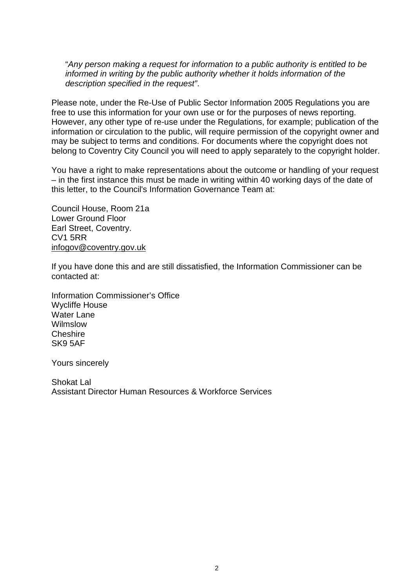"*Any person making a request for information to a public authority is entitled to be informed in writing by the public authority whether it holds information of the description specified in the request"*.

Please note, under the Re-Use of Public Sector Information 2005 Regulations you are free to use this information for your own use or for the purposes of news reporting. However, any other type of re-use under the Regulations, for example; publication of the information or circulation to the public, will require permission of the copyright owner and may be subject to terms and conditions. For documents where the copyright does not belong to Coventry City Council you will need to apply separately to the copyright holder.

You have a right to make representations about the outcome or handling of your request – in the first instance this must be made in writing within 40 working days of the date of this letter, to the Council's Information Governance Team at:

Council House, Room 21a Lower Ground Floor Earl Street, Coventry. CV1 5RR [infogov@coventry.gov.uk](mailto:infogov@coventry.gov.uk)

If you have done this and are still dissatisfied, the Information Commissioner can be contacted at:

Information Commissioner's Office Wycliffe House Water Lane Wilmslow Cheshire SK9 5AF

Yours sincerely

Shokat Lal Assistant Director Human Resources & Workforce Services